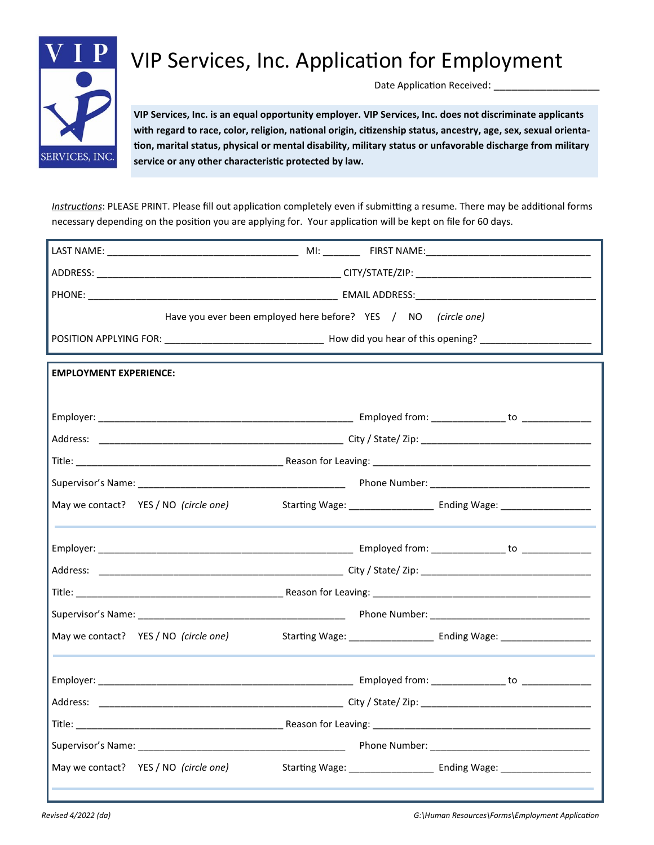

## VIP Services, Inc. Application for Employment

Date Application Received: \_\_\_\_

**VIP Services, Inc. is an equal opportunity employer. VIP Services, Inc. does not discriminate applicants with regard to race, color, religion, national origin, citizenship status, ancestry, age, sex, sexual orientation, marital status, physical or mental disability, military status or unfavorable discharge from military service or any other characteristic protected by law.**

*Instructions*: PLEASE PRINT. Please fill out application completely even if submitting a resume. There may be additional forms necessary depending on the position you are applying for. Your application will be kept on file for 60 days.

|                                       | Have you ever been employed here before? YES / NO (circle one)                                                         |  |  |
|---------------------------------------|------------------------------------------------------------------------------------------------------------------------|--|--|
|                                       |                                                                                                                        |  |  |
|                                       |                                                                                                                        |  |  |
| <b>EMPLOYMENT EXPERIENCE:</b>         |                                                                                                                        |  |  |
|                                       |                                                                                                                        |  |  |
|                                       |                                                                                                                        |  |  |
|                                       |                                                                                                                        |  |  |
|                                       |                                                                                                                        |  |  |
|                                       | Supervisor's Name: 1990 Manner 2008 (2009) Manner 2009 (2009) Manner 2009 Mone Number: 2009 Manner 2009 Manner         |  |  |
|                                       | May we contact? YES / NO (circle one) Starting Wage: ____________________________ Ending Wage: _______________         |  |  |
|                                       |                                                                                                                        |  |  |
|                                       |                                                                                                                        |  |  |
|                                       |                                                                                                                        |  |  |
|                                       |                                                                                                                        |  |  |
|                                       | Supervisor's Name: Name and Supervisor's Name (Name 2018) and Supervisor's Name (Name 2018) and Supervisor's Name 2018 |  |  |
|                                       | May we contact? YES / NO (circle one) Starting Wage: ____________________________ Ending Wage: _______________         |  |  |
|                                       |                                                                                                                        |  |  |
|                                       |                                                                                                                        |  |  |
|                                       |                                                                                                                        |  |  |
|                                       |                                                                                                                        |  |  |
|                                       |                                                                                                                        |  |  |
|                                       | Supervisor's Name: Name: Name: Name: Name: Name: Name: Name: Name: Name: Name: Name: Name: Name: Name: Name: N         |  |  |
| May we contact? YES / NO (circle one) | Starting Wage: ___________________ Ending Wage: _                                                                      |  |  |